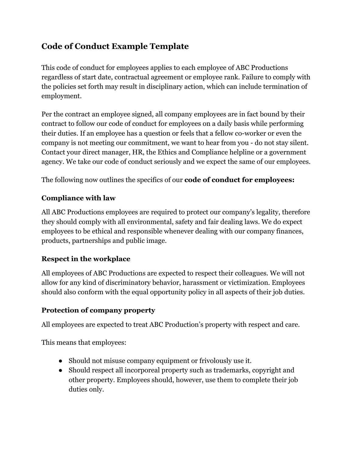# **Code of Conduct Example Template**

This code of conduct for employees applies to each employee of ABC Productions regardless of start date, contractual agreement or employee rank. Failure to comply with the policies set forth may result in disciplinary action, which can include termination of employment.

Per the contract an employee signed, all company employees are in fact bound by their contract to follow our code of conduct for employees on a daily basis while performing their duties. If an employee has a question or feels that a fellow co-worker or even the company is not meeting our commitment, we want to hear from you - do not stay silent. Contact your direct manager, HR, the Ethics and Compliance helpline or a government agency. We take our code of conduct seriously and we expect the same of our employees.

The following now outlines the specifics of our **code of conduct for employees:**

#### **Compliance with law**

All ABC Productions employees are required to protect our company's legality, therefore they should comply with all environmental, safety and fair dealing laws. We do expect employees to be ethical and responsible whenever dealing with our company finances, products, partnerships and public image.

### **Respect in the workplace**

All employees of ABC Productions are expected to respect their colleagues. We will not allow for any kind of discriminatory behavior, harassment or victimization. Employees should also conform with the equal opportunity policy in all aspects of their job duties.

#### **Protection of company property**

All employees are expected to treat ABC Production's property with respect and care.

This means that employees:

- Should not misuse company equipment or frivolously use it.
- Should respect all incorporeal property such as trademarks, copyright and other property. Employees should, however, use them to complete their job duties only.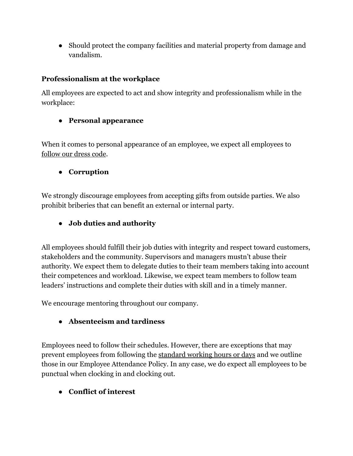● Should protect the company facilities and material property from damage and vandalism.

#### **Professionalism at the workplace**

All employees are expected to act and show integrity and professionalism while in the workplace:

#### ● **Personal appearance**

When it comes to personal appearance of an employee, we expect all employees to [follow our dress code](https://connecteam.com/templates/dress-code-policy/).

#### ● **Corruption**

We strongly discourage employees from accepting gifts from outside parties. We also prohibit briberies that can benefit an external or internal party.

### ● **Job duties and authority**

All employees should fulfill their job duties with integrity and respect toward customers, stakeholders and the community. Supervisors and managers mustn't abuse their authority. We expect them to delegate duties to their team members taking into account their competences and workload. Likewise, we expect team members to follow team leaders' instructions and complete their duties with skill and in a timely manner.

We encourage mentoring throughout our company.

#### ● **Absenteeism and tardiness**

Employees need to follow their schedules. However, there are exceptions that may prevent employees from following the [standard working hours or days](https://connecteam.com/templates/employee-attendance-policy/) and we outline those in our Employee Attendance Policy. In any case, we do expect all employees to be punctual when clocking in and clocking out.

### ● **Conflict of interest**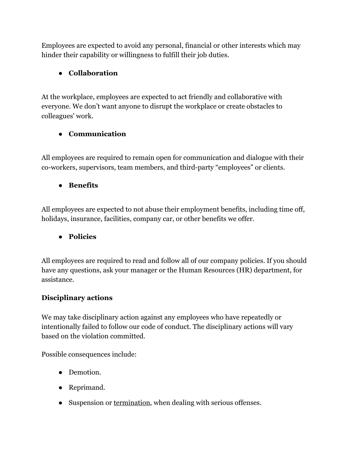Employees are expected to avoid any personal, financial or other interests which may hinder their capability or willingness to fulfill their job duties.

## ● **Collaboration**

At the workplace, employees are expected to act friendly and collaborative with everyone. We don't want anyone to disrupt the workplace or create obstacles to colleagues' work.

### ● **Communication**

All employees are required to remain open for communication and dialogue with their co-workers, supervisors, team members, and third-party "employees" or clients.

### ● **Benefits**

All employees are expected to not abuse their employment benefits, including time off, holidays, insurance, facilities, company car, or other benefits we offer.

### ● **Policies**

All employees are required to read and follow all of our company policies. If you should have any questions, ask your manager or the Human Resources (HR) department, for assistance.

### **Disciplinary actions**

We may take disciplinary action against any employees who have repeatedly or intentionally failed to follow our code of conduct. The disciplinary actions will vary based on the violation committed.

Possible consequences include:

- Demotion.
- Reprimand.
- Suspension or [termination](https://connecteam.com/templates/employee-termination-letter/), when dealing with serious offenses.